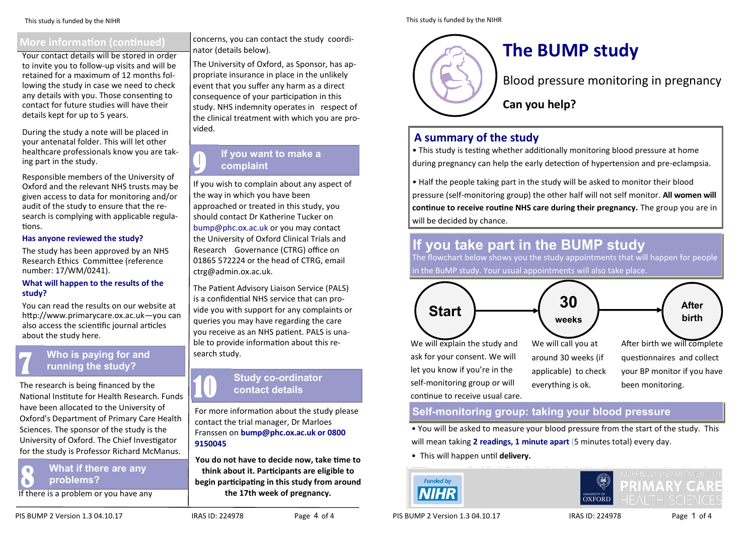## **More information (continued)**

Your contact details will be stored in order to invite you to follow-up visits and will be retained for a maximum of 12 months following the study in case we need to check any details with you. Those consenting to contact for future studies will have their details kept for up to 5 years.

During the study a note will be placed in your antenatal folder. This will let other healthcare professionals know you are taking part in the study.

Responsible members of the University of Oxford and the relevant NHS trusts may be given access to data for monitoring and/or audit of the study to ensure that the research is complying with applicable regulations.

#### **Has anyone reviewed the study?**

The study has been approved by an NHS Research Ethics Committee (reference number: 17/WM/0241).

#### **What will happen to the results of the study?**

You can read the results on our website at http://www.primarycare.ox.ac.uk—you can also access the scientific journal articles about the study here.

## **Who is paying for and** 7 **running the study?**

The research is being financed by the National Institute for Health Research. Funds have been allocated to the University of Oxford's Department of Primary Care Health Sciences. The sponsor of the study is the University of Oxford. The Chief Investigator for the study is Professor Richard McManus.

**8 What if there are any problems?** 

If there is a problem or you have any

concerns, you can contact the study coordinator (details below).

The University of Oxford, as Sponsor, has appropriate insurance in place in the unlikely event that you suffer any harm as a direct consequence of your participation in this study. NHS indemnity operates in respect of the clinical treatment with which you are provided.

## **If you want to make a complaint**

If you wish to complain about any aspect of the way in which you have been approached or treated in this study, you should contact Dr Katherine Tucker on bump@phc.ox.ac.uk or you may contact the University of Oxford Clinical Trials and Research Governance (CTRG) office on 01865 572224 or the head of CTRG, email ctrg@admin.ox.ac.uk.

The Patient Advisory Liaison Service (PALS) is a confidential NHS service that can provide you with support for any complaints or queries you may have regarding the care you receive as an NHS patient. PALS is unable to provide information about this research study.

# **Study co-ordinator contact details**

For more information about the study please contact the trial manager, Dr Marloes Franssen on **bump@phc.ox.ac.uk or 0800 9150045** 

**You do not have to decide now, take time to think about it. Participants are eligible to begin participating in this study from around the 17th week of pregnancy.** 

## **The BUMP study**

Blood pressure monitoring in pregnancy

**Can you help?**

## **A summary of the study**

• This study is testing whether additionally monitoring blood pressure at home during pregnancy can help the early detection of hypertension and pre-eclampsia.

• Half the people taking part in the study will be asked to monitor their blood pressure (self-monitoring group) the other half will not self monitor. **All women will continue to receive routine NHS care during their pregnancy.** The group you are in will be decided by chance.

## **If you take part in the BUMP study**

The flowchart below shows you the study appointments that will happen for people in the BuMP study. Your usual appointments will also take place.



self-monitoring group or will continue to receive usual care.

everything is ok.

been monitoring.

### **Self-monitoring group: taking your blood pressure**

• You will be asked to measure your blood pressure from the start of the study. This will mean taking **2 readings, 1 minute apart** (5 minutes total) every day.

• This will happen until **delivery.**





PIS BUMP 2 Version 1.3 04.10.17 IRAS ID: 224978 Page 1 of 4